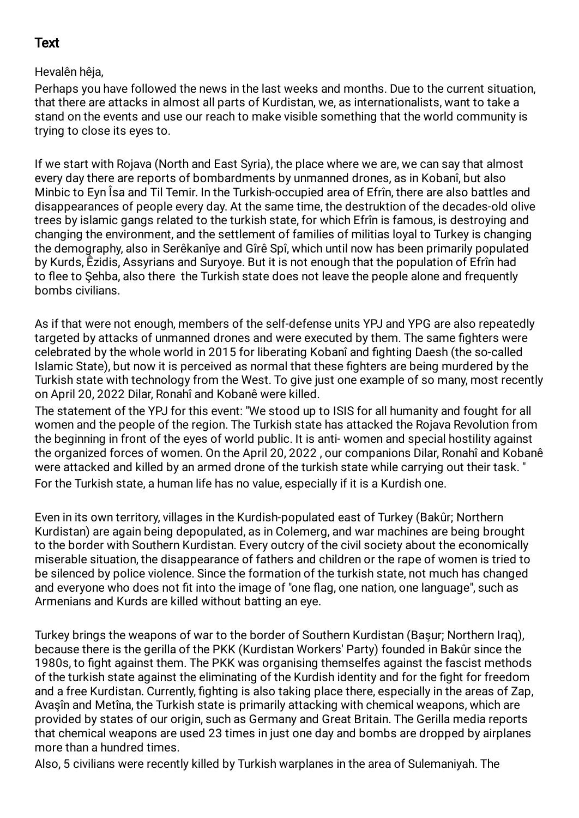## Text

Hevalên hêja,

Perhaps you have followed the news in the last weeks and months. Due to the current situation, that there are attacks in almost all parts of Kurdistan, we, as internationalists, want to take a stand on the events and use our reach to make visible something that the world community is trying to close its eyes to.

If we start with Rojava (North and East Syria), the place where we are, we can say that almost every day there are reports of bombardments by unmanned drones, as in Kobanî, but also Minbic to Eyn Îsa and Til Temir. In the Turkish-occupied area of Efrîn, there are also battles and disappearances of people every day. At the same time, the destruktion of the decades-old olive trees by islamic gangs related to the turkish state, for which Efrîn is famous, is destroying and changing the environment, and the settlement of families of militias loyal to Turkey is changing the demography, also in Serêkanîye and Gîrê Spî, which until now has been primarily populated by Kurds, Êzidis, Assyrians and Suryoye. But it is not enough that the population of Efrîn had to flee to Şehba, also there the Turkish state does not leave the people alone and frequently bombs civilians.

As if that were not enough, members of the self-defense units YPJ and YPG are also repeatedly targeted by attacks of unmanned drones and were executed by them. The same fighters were celebrated by the whole world in 2015 for liberating Kobanî and fighting Daesh (the so-called Islamic State), but now it is perceived as normal that these fighters are being murdered by the Turkish state with technology from the West. To give just one example of so many, most recently on April 20, 2022 Dilar, Ronahî and Kobanê were killed.

The statement of the YPJ for this event: "We stood up to ISIS for all humanity and fought for all women and the people of the region. The Turkish state has attacked the Rojava Revolution from the beginning in front of the eyes of world public. It is anti- women and special hostility against the organized forces of women. On the April 20, 2022 , our companions Dilar, Ronahî and Kobanê were attacked and killed by an armed drone of the turkish state while carrying out their task. " For the Turkish state, a human life has no value, especially if it is a Kurdish one.

Even in its own territory, villages in the Kurdish-populated east of Turkey (Bakûr; Northern Kurdistan) are again being depopulated, as in Colemerg, and war machines are being brought to the border with Southern Kurdistan. Every outcry of the civil society about the economically miserable situation, the disappearance of fathers and children or the rape of women is tried to be silenced by police violence. Since the formation of the turkish state, not much has changed and everyone who does not fit into the image of "one flag, one nation, one language", such as Armenians and Kurds are killed without batting an eye.

Turkey brings the weapons of war to the border of Southern Kurdistan (Başur; Northern Iraq), because there is the gerilla of the PKK (Kurdistan Workers' Party) founded in Bakûr since the 1980s, to fight against them. The PKK was organising themselfes against the fascist methods of the turkish state against the eliminating of the Kurdish identity and for the fight for freedom and a free Kurdistan. Currently, fighting is also taking place there, especially in the areas of Zap, Avaşîn and Metîna, the Turkish state is primarily attacking with chemical weapons, which are provided by states of our origin, such as Germany and Great Britain. The Gerilla media reports that chemical weapons are used 23 times in just one day and bombs are dropped by airplanes more than a hundred times.

Also, 5 civilians were recently killed by Turkish warplanes in the area of Sulemaniyah. The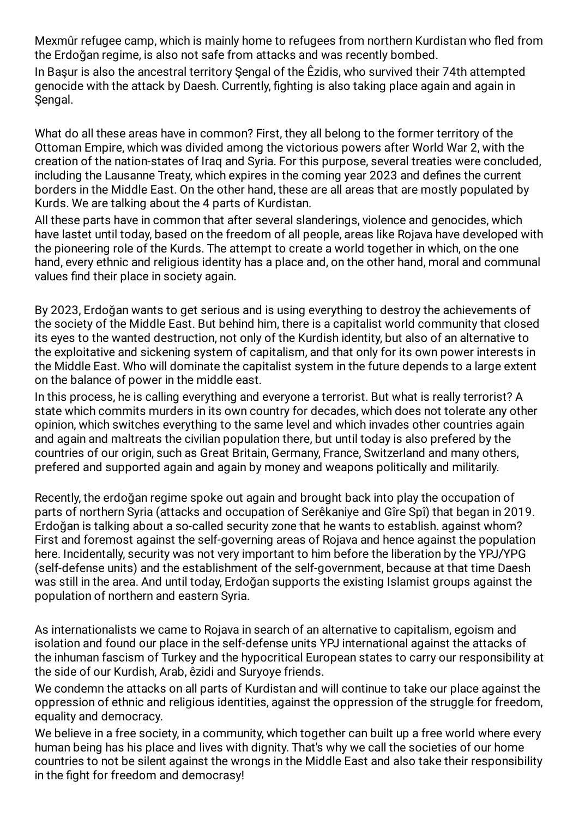Mexmûr refugee camp, which is mainly home to refugees from northern Kurdistan who fled from the Erdoğan regime, is also not safe from attacks and was recently bombed.

In Başur is also the ancestral territory Şengal of the Êzidis, who survived their 74th attempted genocide with the attack by Daesh. Currently, fighting is also taking place again and again in Sengal.

What do all these areas have in common? First, they all belong to the former territory of the Ottoman Empire, which was divided among the victorious powers after World War 2, with the creation of the nation-states of Iraq and Syria. For this purpose, several treaties were concluded, including the Lausanne Treaty, which expires in the coming year 2023 and defines the current borders in the Middle East. On the other hand, these are all areas that are mostly populated by Kurds. We are talking about the 4 parts of Kurdistan.

All these parts have in common that after several slanderings, violence and genocides, which have lastet until today, based on the freedom of all people, areas like Rojava have developed with the pioneering role of the Kurds. The attempt to create a world together in which, on the one hand, every ethnic and religious identity has a place and, on the other hand, moral and communal values find their place in society again.

By 2023, Erdoğan wants to get serious and is using everything to destroy the achievements of the society of the Middle East. But behind him, there is a capitalist world community that closed its eyes to the wanted destruction, not only of the Kurdish identity, but also of an alternative to the exploitative and sickening system of capitalism, and that only for its own power interests in the Middle East. Who will dominate the capitalist system in the future depends to a large extent on the balance of power in the middle east.

In this process, he is calling everything and everyone a terrorist. But what is really terrorist? A state which commits murders in its own country for decades, which does not tolerate any other opinion, which switches everything to the same level and which invades other countries again and again and maltreats the civilian population there, but until today is also prefered by the countries of our origin, such as Great Britain, Germany, France, Switzerland and many others, prefered and supported again and again by money and weapons politically and militarily.

Recently, the erdoğan regime spoke out again and brought back into play the occupation of parts of northern Syria (attacks and occupation of Serêkaniye and Gîre Spî) that began in 2019. Erdoğan is talking about a so-called security zone that he wants to establish. against whom? First and foremost against the self-governing areas of Rojava and hence against the population here. Incidentally, security was not very important to him before the liberation by the YPJ/YPG (self-defense units) and the establishment of the self-government, because at that time Daesh was still in the area. And until today, Erdoğan supports the existing Islamist groups against the population of northern and eastern Syria.

As internationalists we came to Rojava in search of an alternative to capitalism, egoism and isolation and found our place in the self-defense units YPJ international against the attacks of the inhuman fascism of Turkey and the hypocritical European states to carry our responsibility at the side of our Kurdish, Arab, êzidi and Suryoye friends.

We condemn the attacks on all parts of Kurdistan and will continue to take our place against the oppression of ethnic and religious identities, against the oppression of the struggle for freedom, equality and democracy.

We believe in a free society, in a community, which together can built up a free world where every human being has his place and lives with dignity. That's why we call the societies of our home countries to not be silent against the wrongs in the Middle East and also take their responsibility in the fight for freedom and democrasy!